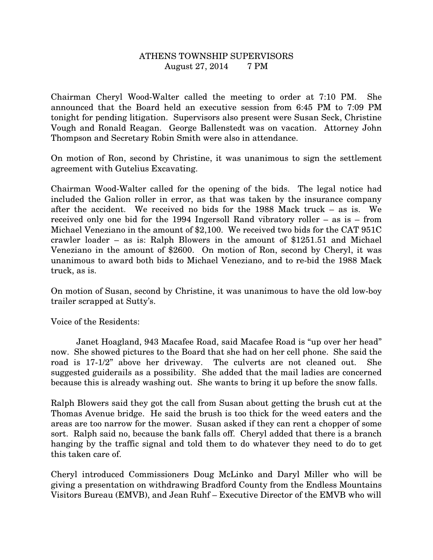## ATHENS TOWNSHIP SUPERVISORS August 27, 2014 7 PM

Chairman Cheryl Wood-Walter called the meeting to order at 7:10 PM. She announced that the Board held an executive session from 6:45 PM to 7:09 PM tonight for pending litigation. Supervisors also present were Susan Seck, Christine Vough and Ronald Reagan. George Ballenstedt was on vacation. Attorney John Thompson and Secretary Robin Smith were also in attendance.

On motion of Ron, second by Christine, it was unanimous to sign the settlement agreement with Gutelius Excavating.

Chairman Wood-Walter called for the opening of the bids. The legal notice had included the Galion roller in error, as that was taken by the insurance company after the accident. We received no bids for the 1988 Mack truck – as is. We received only one bid for the 1994 Ingersoll Rand vibratory roller – as is – from Michael Veneziano in the amount of \$2,100. We received two bids for the CAT 951C crawler loader – as is: Ralph Blowers in the amount of \$1251.51 and Michael Veneziano in the amount of \$2600. On motion of Ron, second by Cheryl, it was unanimous to award both bids to Michael Veneziano, and to re-bid the 1988 Mack truck, as is.

On motion of Susan, second by Christine, it was unanimous to have the old low-boy trailer scrapped at Sutty's.

Voice of the Residents:

 Janet Hoagland, 943 Macafee Road, said Macafee Road is "up over her head" now. She showed pictures to the Board that she had on her cell phone. She said the road is 17-1/2" above her driveway. The culverts are not cleaned out. She suggested guiderails as a possibility. She added that the mail ladies are concerned because this is already washing out. She wants to bring it up before the snow falls.

Ralph Blowers said they got the call from Susan about getting the brush cut at the Thomas Avenue bridge. He said the brush is too thick for the weed eaters and the areas are too narrow for the mower. Susan asked if they can rent a chopper of some sort. Ralph said no, because the bank falls off. Cheryl added that there is a branch hanging by the traffic signal and told them to do whatever they need to do to get this taken care of.

Cheryl introduced Commissioners Doug McLinko and Daryl Miller who will be giving a presentation on withdrawing Bradford County from the Endless Mountains Visitors Bureau (EMVB), and Jean Ruhf – Executive Director of the EMVB who will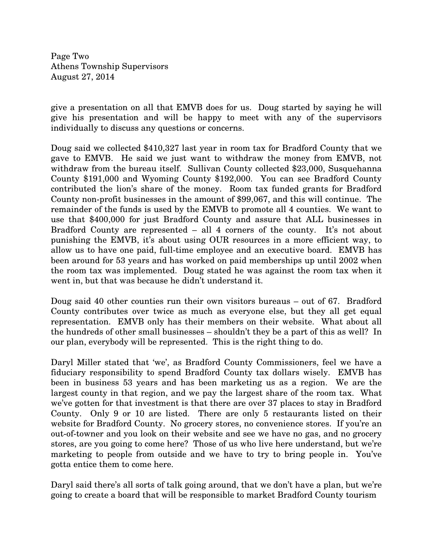Page Two Athens Township Supervisors August 27, 2014

give a presentation on all that EMVB does for us. Doug started by saying he will give his presentation and will be happy to meet with any of the supervisors individually to discuss any questions or concerns.

Doug said we collected \$410,327 last year in room tax for Bradford County that we gave to EMVB. He said we just want to withdraw the money from EMVB, not withdraw from the bureau itself. Sullivan County collected \$23,000, Susquehanna County \$191,000 and Wyoming County \$192,000. You can see Bradford County contributed the lion's share of the money. Room tax funded grants for Bradford County non-profit businesses in the amount of \$99,067, and this will continue. The remainder of the funds is used by the EMVB to promote all 4 counties. We want to use that \$400,000 for just Bradford County and assure that ALL businesses in Bradford County are represented – all 4 corners of the county. It's not about punishing the EMVB, it's about using OUR resources in a more efficient way, to allow us to have one paid, full-time employee and an executive board. EMVB has been around for 53 years and has worked on paid memberships up until 2002 when the room tax was implemented. Doug stated he was against the room tax when it went in, but that was because he didn't understand it.

Doug said 40 other counties run their own visitors bureaus – out of 67. Bradford County contributes over twice as much as everyone else, but they all get equal representation. EMVB only has their members on their website. What about all the hundreds of other small businesses – shouldn't they be a part of this as well? In our plan, everybody will be represented. This is the right thing to do.

Daryl Miller stated that 'we', as Bradford County Commissioners, feel we have a fiduciary responsibility to spend Bradford County tax dollars wisely. EMVB has been in business 53 years and has been marketing us as a region. We are the largest county in that region, and we pay the largest share of the room tax. What we've gotten for that investment is that there are over 37 places to stay in Bradford County. Only 9 or 10 are listed. There are only 5 restaurants listed on their website for Bradford County. No grocery stores, no convenience stores. If you're an out-of-towner and you look on their website and see we have no gas, and no grocery stores, are you going to come here? Those of us who live here understand, but we're marketing to people from outside and we have to try to bring people in. You've gotta entice them to come here.

Daryl said there's all sorts of talk going around, that we don't have a plan, but we're going to create a board that will be responsible to market Bradford County tourism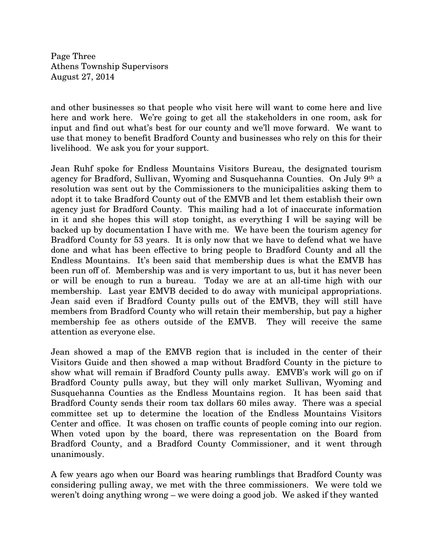Page Three Athens Township Supervisors August 27, 2014

and other businesses so that people who visit here will want to come here and live here and work here. We're going to get all the stakeholders in one room, ask for input and find out what's best for our county and we'll move forward. We want to use that money to benefit Bradford County and businesses who rely on this for their livelihood. We ask you for your support.

Jean Ruhf spoke for Endless Mountains Visitors Bureau, the designated tourism agency for Bradford, Sullivan, Wyoming and Susquehanna Counties. On July 9th a resolution was sent out by the Commissioners to the municipalities asking them to adopt it to take Bradford County out of the EMVB and let them establish their own agency just for Bradford County. This mailing had a lot of inaccurate information in it and she hopes this will stop tonight, as everything I will be saying will be backed up by documentation I have with me. We have been the tourism agency for Bradford County for 53 years. It is only now that we have to defend what we have done and what has been effective to bring people to Bradford County and all the Endless Mountains. It's been said that membership dues is what the EMVB has been run off of. Membership was and is very important to us, but it has never been or will be enough to run a bureau. Today we are at an all-time high with our membership. Last year EMVB decided to do away with municipal appropriations. Jean said even if Bradford County pulls out of the EMVB, they will still have members from Bradford County who will retain their membership, but pay a higher membership fee as others outside of the EMVB. They will receive the same attention as everyone else.

Jean showed a map of the EMVB region that is included in the center of their Visitors Guide and then showed a map without Bradford County in the picture to show what will remain if Bradford County pulls away. EMVB's work will go on if Bradford County pulls away, but they will only market Sullivan, Wyoming and Susquehanna Counties as the Endless Mountains region. It has been said that Bradford County sends their room tax dollars 60 miles away. There was a special committee set up to determine the location of the Endless Mountains Visitors Center and office. It was chosen on traffic counts of people coming into our region. When voted upon by the board, there was representation on the Board from Bradford County, and a Bradford County Commissioner, and it went through unanimously.

A few years ago when our Board was hearing rumblings that Bradford County was considering pulling away, we met with the three commissioners. We were told we weren't doing anything wrong – we were doing a good job. We asked if they wanted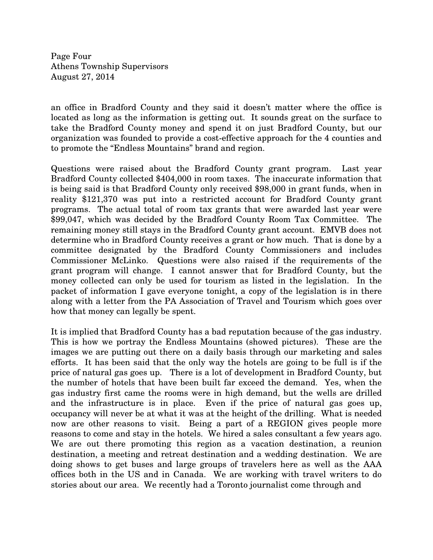Page Four Athens Township Supervisors August 27, 2014

an office in Bradford County and they said it doesn't matter where the office is located as long as the information is getting out. It sounds great on the surface to take the Bradford County money and spend it on just Bradford County, but our organization was founded to provide a cost-effective approach for the 4 counties and to promote the "Endless Mountains" brand and region.

Questions were raised about the Bradford County grant program. Last year Bradford County collected \$404,000 in room taxes. The inaccurate information that is being said is that Bradford County only received \$98,000 in grant funds, when in reality \$121,370 was put into a restricted account for Bradford County grant programs. The actual total of room tax grants that were awarded last year were \$99,047, which was decided by the Bradford County Room Tax Committee. The remaining money still stays in the Bradford County grant account. EMVB does not determine who in Bradford County receives a grant or how much. That is done by a committee designated by the Bradford County Commissioners and includes Commissioner McLinko. Questions were also raised if the requirements of the grant program will change. I cannot answer that for Bradford County, but the money collected can only be used for tourism as listed in the legislation. In the packet of information I gave everyone tonight, a copy of the legislation is in there along with a letter from the PA Association of Travel and Tourism which goes over how that money can legally be spent.

It is implied that Bradford County has a bad reputation because of the gas industry. This is how we portray the Endless Mountains (showed pictures). These are the images we are putting out there on a daily basis through our marketing and sales efforts. It has been said that the only way the hotels are going to be full is if the price of natural gas goes up. There is a lot of development in Bradford County, but the number of hotels that have been built far exceed the demand. Yes, when the gas industry first came the rooms were in high demand, but the wells are drilled and the infrastructure is in place. Even if the price of natural gas goes up, occupancy will never be at what it was at the height of the drilling. What is needed now are other reasons to visit. Being a part of a REGION gives people more reasons to come and stay in the hotels. We hired a sales consultant a few years ago. We are out there promoting this region as a vacation destination, a reunion destination, a meeting and retreat destination and a wedding destination. We are doing shows to get buses and large groups of travelers here as well as the AAA offices both in the US and in Canada. We are working with travel writers to do stories about our area. We recently had a Toronto journalist come through and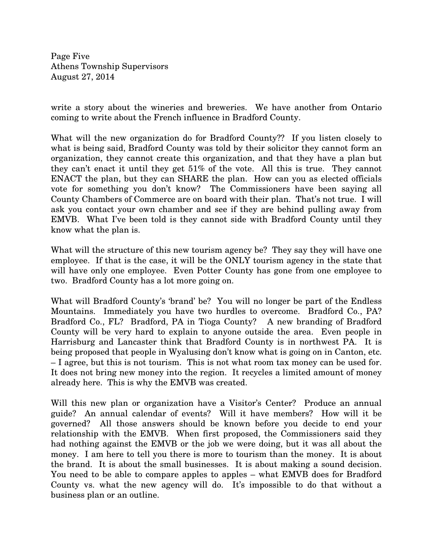Page Five Athens Township Supervisors August 27, 2014

write a story about the wineries and breweries. We have another from Ontario coming to write about the French influence in Bradford County.

What will the new organization do for Bradford County?? If you listen closely to what is being said, Bradford County was told by their solicitor they cannot form an organization, they cannot create this organization, and that they have a plan but they can't enact it until they get 51% of the vote. All this is true. They cannot ENACT the plan, but they can SHARE the plan. How can you as elected officials vote for something you don't know? The Commissioners have been saying all County Chambers of Commerce are on board with their plan. That's not true. I will ask you contact your own chamber and see if they are behind pulling away from EMVB. What I've been told is they cannot side with Bradford County until they know what the plan is.

What will the structure of this new tourism agency be? They say they will have one employee. If that is the case, it will be the ONLY tourism agency in the state that will have only one employee. Even Potter County has gone from one employee to two. Bradford County has a lot more going on.

What will Bradford County's 'brand' be? You will no longer be part of the Endless Mountains. Immediately you have two hurdles to overcome. Bradford Co., PA? Bradford Co., FL? Bradford, PA in Tioga County? A new branding of Bradford County will be very hard to explain to anyone outside the area. Even people in Harrisburg and Lancaster think that Bradford County is in northwest PA. It is being proposed that people in Wyalusing don't know what is going on in Canton, etc. – I agree, but this is not tourism. This is not what room tax money can be used for. It does not bring new money into the region. It recycles a limited amount of money already here. This is why the EMVB was created.

Will this new plan or organization have a Visitor's Center? Produce an annual guide? An annual calendar of events? Will it have members? How will it be governed? All those answers should be known before you decide to end your relationship with the EMVB. When first proposed, the Commissioners said they had nothing against the EMVB or the job we were doing, but it was all about the money. I am here to tell you there is more to tourism than the money. It is about the brand. It is about the small businesses. It is about making a sound decision. You need to be able to compare apples to apples – what EMVB does for Bradford County vs. what the new agency will do. It's impossible to do that without a business plan or an outline.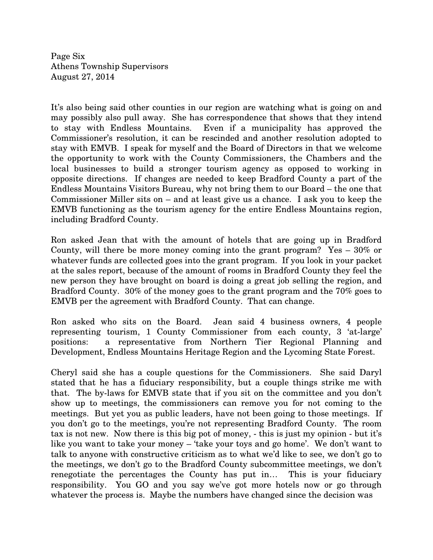Page Six Athens Township Supervisors August 27, 2014

It's also being said other counties in our region are watching what is going on and may possibly also pull away. She has correspondence that shows that they intend to stay with Endless Mountains. Even if a municipality has approved the Commissioner's resolution, it can be rescinded and another resolution adopted to stay with EMVB. I speak for myself and the Board of Directors in that we welcome the opportunity to work with the County Commissioners, the Chambers and the local businesses to build a stronger tourism agency as opposed to working in opposite directions. If changes are needed to keep Bradford County a part of the Endless Mountains Visitors Bureau, why not bring them to our Board – the one that Commissioner Miller sits on – and at least give us a chance. I ask you to keep the EMVB functioning as the tourism agency for the entire Endless Mountains region, including Bradford County.

Ron asked Jean that with the amount of hotels that are going up in Bradford County, will there be more money coming into the grant program? Yes – 30% or whatever funds are collected goes into the grant program. If you look in your packet at the sales report, because of the amount of rooms in Bradford County they feel the new person they have brought on board is doing a great job selling the region, and Bradford County. 30% of the money goes to the grant program and the 70% goes to EMVB per the agreement with Bradford County. That can change.

Ron asked who sits on the Board. Jean said 4 business owners, 4 people representing tourism, 1 County Commissioner from each county, 3 'at-large' positions: a representative from Northern Tier Regional Planning and Development, Endless Mountains Heritage Region and the Lycoming State Forest.

Cheryl said she has a couple questions for the Commissioners. She said Daryl stated that he has a fiduciary responsibility, but a couple things strike me with that. The by-laws for EMVB state that if you sit on the committee and you don't show up to meetings, the commissioners can remove you for not coming to the meetings. But yet you as public leaders, have not been going to those meetings. If you don't go to the meetings, you're not representing Bradford County. The room tax is not new. Now there is this big pot of money, - this is just my opinion - but it's like you want to take your money – 'take your toys and go home'. We don't want to talk to anyone with constructive criticism as to what we'd like to see, we don't go to the meetings, we don't go to the Bradford County subcommittee meetings, we don't renegotiate the percentages the County has put in… This is your fiduciary responsibility. You GO and you say we've got more hotels now or go through whatever the process is. Maybe the numbers have changed since the decision was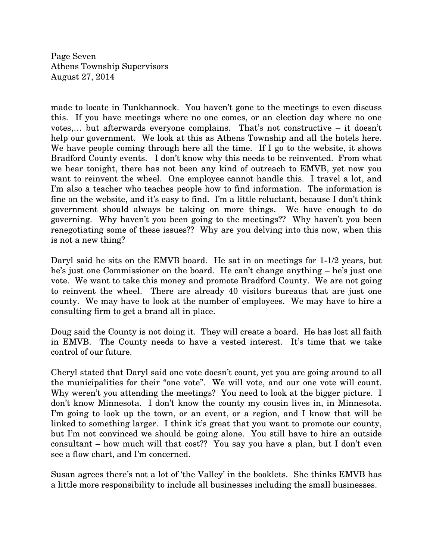Page Seven Athens Township Supervisors August 27, 2014

made to locate in Tunkhannock. You haven't gone to the meetings to even discuss this. If you have meetings where no one comes, or an election day where no one votes,… but afterwards everyone complains. That's not constructive – it doesn't help our government. We look at this as Athens Township and all the hotels here. We have people coming through here all the time. If I go to the website, it shows Bradford County events. I don't know why this needs to be reinvented. From what we hear tonight, there has not been any kind of outreach to EMVB, yet now you want to reinvent the wheel. One employee cannot handle this. I travel a lot, and I'm also a teacher who teaches people how to find information. The information is fine on the website, and it's easy to find. I'm a little reluctant, because I don't think government should always be taking on more things. We have enough to do governing. Why haven't you been going to the meetings?? Why haven't you been renegotiating some of these issues?? Why are you delving into this now, when this is not a new thing?

Daryl said he sits on the EMVB board. He sat in on meetings for 1-1/2 years, but he's just one Commissioner on the board. He can't change anything – he's just one vote. We want to take this money and promote Bradford County. We are not going to reinvent the wheel. There are already 40 visitors bureaus that are just one county. We may have to look at the number of employees. We may have to hire a consulting firm to get a brand all in place.

Doug said the County is not doing it. They will create a board. He has lost all faith in EMVB. The County needs to have a vested interest. It's time that we take control of our future.

Cheryl stated that Daryl said one vote doesn't count, yet you are going around to all the municipalities for their "one vote". We will vote, and our one vote will count. Why weren't you attending the meetings? You need to look at the bigger picture. I don't know Minnesota. I don't know the county my cousin lives in, in Minnesota. I'm going to look up the town, or an event, or a region, and I know that will be linked to something larger. I think it's great that you want to promote our county, but I'm not convinced we should be going alone. You still have to hire an outside consultant – how much will that cost?? You say you have a plan, but I don't even see a flow chart, and I'm concerned.

Susan agrees there's not a lot of 'the Valley' in the booklets. She thinks EMVB has a little more responsibility to include all businesses including the small businesses.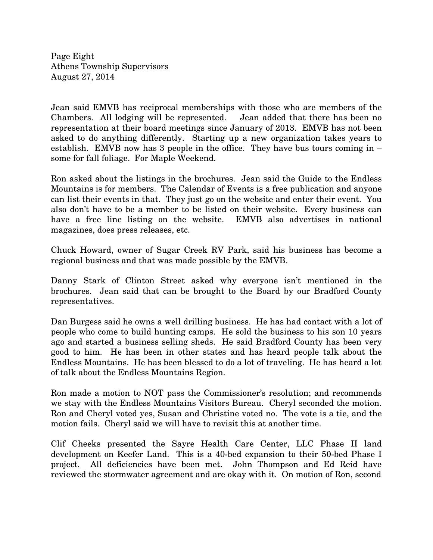Page Eight Athens Township Supervisors August 27, 2014

Jean said EMVB has reciprocal memberships with those who are members of the Chambers. All lodging will be represented. Jean added that there has been no representation at their board meetings since January of 2013. EMVB has not been asked to do anything differently. Starting up a new organization takes years to establish. EMVB now has 3 people in the office. They have bus tours coming in – some for fall foliage. For Maple Weekend.

Ron asked about the listings in the brochures. Jean said the Guide to the Endless Mountains is for members. The Calendar of Events is a free publication and anyone can list their events in that. They just go on the website and enter their event. You also don't have to be a member to be listed on their website. Every business can have a free line listing on the website. EMVB also advertises in national magazines, does press releases, etc.

Chuck Howard, owner of Sugar Creek RV Park, said his business has become a regional business and that was made possible by the EMVB.

Danny Stark of Clinton Street asked why everyone isn't mentioned in the brochures. Jean said that can be brought to the Board by our Bradford County representatives.

Dan Burgess said he owns a well drilling business. He has had contact with a lot of people who come to build hunting camps. He sold the business to his son 10 years ago and started a business selling sheds. He said Bradford County has been very good to him. He has been in other states and has heard people talk about the Endless Mountains. He has been blessed to do a lot of traveling. He has heard a lot of talk about the Endless Mountains Region.

Ron made a motion to NOT pass the Commissioner's resolution; and recommends we stay with the Endless Mountains Visitors Bureau. Cheryl seconded the motion. Ron and Cheryl voted yes, Susan and Christine voted no. The vote is a tie, and the motion fails. Cheryl said we will have to revisit this at another time.

Clif Cheeks presented the Sayre Health Care Center, LLC Phase II land development on Keefer Land. This is a 40-bed expansion to their 50-bed Phase I project. All deficiencies have been met. John Thompson and Ed Reid have reviewed the stormwater agreement and are okay with it. On motion of Ron, second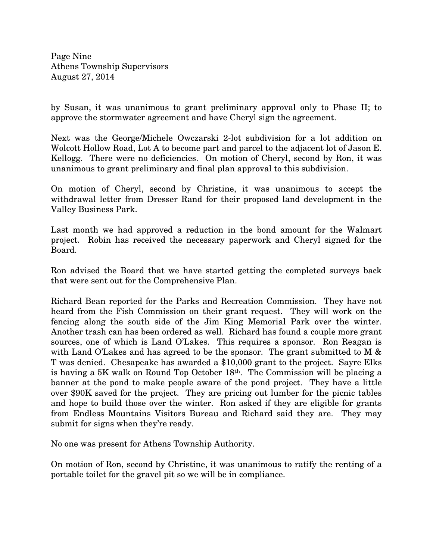Page Nine Athens Township Supervisors August 27, 2014

by Susan, it was unanimous to grant preliminary approval only to Phase II; to approve the stormwater agreement and have Cheryl sign the agreement.

Next was the George/Michele Owczarski 2-lot subdivision for a lot addition on Wolcott Hollow Road, Lot A to become part and parcel to the adjacent lot of Jason E. Kellogg. There were no deficiencies. On motion of Cheryl, second by Ron, it was unanimous to grant preliminary and final plan approval to this subdivision.

On motion of Cheryl, second by Christine, it was unanimous to accept the withdrawal letter from Dresser Rand for their proposed land development in the Valley Business Park.

Last month we had approved a reduction in the bond amount for the Walmart project. Robin has received the necessary paperwork and Cheryl signed for the Board.

Ron advised the Board that we have started getting the completed surveys back that were sent out for the Comprehensive Plan.

Richard Bean reported for the Parks and Recreation Commission. They have not heard from the Fish Commission on their grant request. They will work on the fencing along the south side of the Jim King Memorial Park over the winter. Another trash can has been ordered as well. Richard has found a couple more grant sources, one of which is Land O'Lakes. This requires a sponsor. Ron Reagan is with Land O'Lakes and has agreed to be the sponsor. The grant submitted to M & T was denied. Chesapeake has awarded a \$10,000 grant to the project. Sayre Elks is having a 5K walk on Round Top October 18th. The Commission will be placing a banner at the pond to make people aware of the pond project. They have a little over \$90K saved for the project. They are pricing out lumber for the picnic tables and hope to build those over the winter. Ron asked if they are eligible for grants from Endless Mountains Visitors Bureau and Richard said they are. They may submit for signs when they're ready.

No one was present for Athens Township Authority.

On motion of Ron, second by Christine, it was unanimous to ratify the renting of a portable toilet for the gravel pit so we will be in compliance.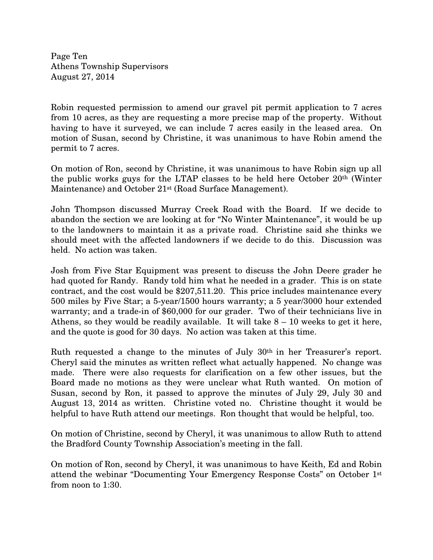Page Ten Athens Township Supervisors August 27, 2014

Robin requested permission to amend our gravel pit permit application to 7 acres from 10 acres, as they are requesting a more precise map of the property. Without having to have it surveyed, we can include 7 acres easily in the leased area. On motion of Susan, second by Christine, it was unanimous to have Robin amend the permit to 7 acres.

On motion of Ron, second by Christine, it was unanimous to have Robin sign up all the public works guys for the LTAP classes to be held here October 20th (Winter Maintenance) and October 21<sup>st</sup> (Road Surface Management).

John Thompson discussed Murray Creek Road with the Board. If we decide to abandon the section we are looking at for "No Winter Maintenance", it would be up to the landowners to maintain it as a private road. Christine said she thinks we should meet with the affected landowners if we decide to do this. Discussion was held. No action was taken.

Josh from Five Star Equipment was present to discuss the John Deere grader he had quoted for Randy. Randy told him what he needed in a grader. This is on state contract, and the cost would be \$207,511.20. This price includes maintenance every 500 miles by Five Star; a 5-year/1500 hours warranty; a 5 year/3000 hour extended warranty; and a trade-in of \$60,000 for our grader. Two of their technicians live in Athens, so they would be readily available. It will take  $8 - 10$  weeks to get it here, and the quote is good for 30 days. No action was taken at this time.

Ruth requested a change to the minutes of July 30th in her Treasurer's report. Cheryl said the minutes as written reflect what actually happened. No change was made. There were also requests for clarification on a few other issues, but the Board made no motions as they were unclear what Ruth wanted. On motion of Susan, second by Ron, it passed to approve the minutes of July 29, July 30 and August 13, 2014 as written. Christine voted no. Christine thought it would be helpful to have Ruth attend our meetings. Ron thought that would be helpful, too.

On motion of Christine, second by Cheryl, it was unanimous to allow Ruth to attend the Bradford County Township Association's meeting in the fall.

On motion of Ron, second by Cheryl, it was unanimous to have Keith, Ed and Robin attend the webinar "Documenting Your Emergency Response Costs" on October 1st from noon to 1:30.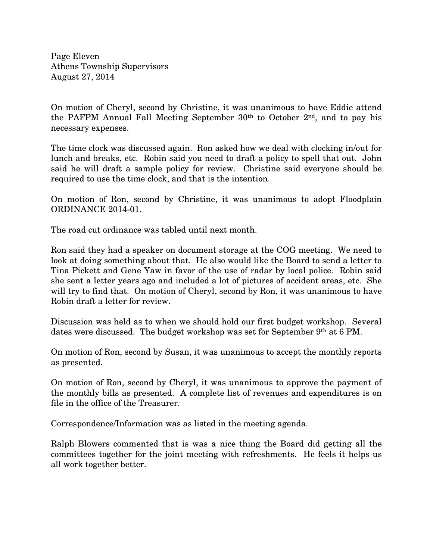Page Eleven Athens Township Supervisors August 27, 2014

On motion of Cheryl, second by Christine, it was unanimous to have Eddie attend the PAFPM Annual Fall Meeting September  $30<sup>th</sup>$  to October  $2<sup>nd</sup>$ , and to pay his necessary expenses.

The time clock was discussed again. Ron asked how we deal with clocking in/out for lunch and breaks, etc. Robin said you need to draft a policy to spell that out. John said he will draft a sample policy for review. Christine said everyone should be required to use the time clock, and that is the intention.

On motion of Ron, second by Christine, it was unanimous to adopt Floodplain ORDINANCE 2014-01.

The road cut ordinance was tabled until next month.

Ron said they had a speaker on document storage at the COG meeting. We need to look at doing something about that. He also would like the Board to send a letter to Tina Pickett and Gene Yaw in favor of the use of radar by local police. Robin said she sent a letter years ago and included a lot of pictures of accident areas, etc. She will try to find that. On motion of Cheryl, second by Ron, it was unanimous to have Robin draft a letter for review.

Discussion was held as to when we should hold our first budget workshop. Several dates were discussed. The budget workshop was set for September 9th at 6 PM.

On motion of Ron, second by Susan, it was unanimous to accept the monthly reports as presented.

On motion of Ron, second by Cheryl, it was unanimous to approve the payment of the monthly bills as presented. A complete list of revenues and expenditures is on file in the office of the Treasurer.

Correspondence/Information was as listed in the meeting agenda.

Ralph Blowers commented that is was a nice thing the Board did getting all the committees together for the joint meeting with refreshments. He feels it helps us all work together better.